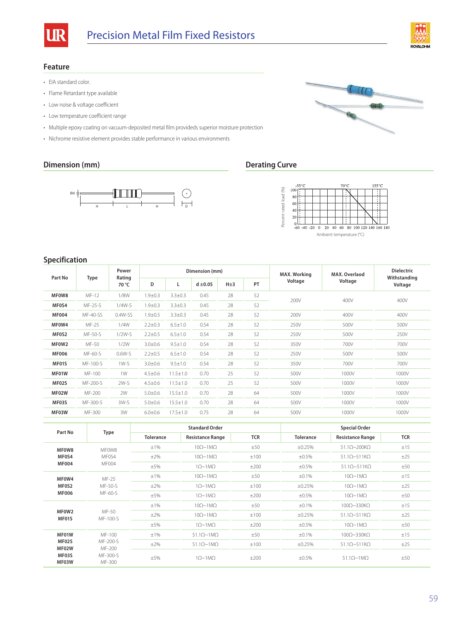



## **Feature**

- EIA standard color.
- Flame Retardant type available
- Low noise & voltage coefficient
- Low temperature coefficient range
- Multiple epoxy coating on vacuum-deposited metal film provideds superior moisture protection
- Nichrome resistive element provides stable performance in various environments

## **Dimension (mm) Derating Curve**







# **Specification**

|              |          | Power           | Dimension (mm) |                |              |          |    | <b>MAX. Working</b> | MAX. Overlaod | <b>Dielectric</b>       |
|--------------|----------|-----------------|----------------|----------------|--------------|----------|----|---------------------|---------------|-------------------------|
| Part No      | Type     | Rating<br>70 °C | D              |                | $d \pm 0.05$ | $H\pm 3$ | PT | Voltage<br>Voltage  |               | Withstanding<br>Voltage |
| MF0W8        | MF-12    | 1/8W            | $1.9 + 0.3$    | $3.3 \pm 0.3$  | 0.45         | 28       | 52 | 200V<br>400V        |               | 400V                    |
| MF0S4        | MF-25-S  | $1/4W-S$        | $1.9 + 0.3$    | $3.3 \pm 0.3$  | 0.45         | 28       | 52 |                     |               |                         |
| <b>MF004</b> | MF-40-SS | $0.4W-SS$       | $1.9 + 0.5$    | $3.3 \pm 0.3$  | 0.45         | 28       | 52 | 200V                | 400V          | 400V                    |
| MF0W4        | MF-25    | 1/4W            | $2.2 \pm 0.3$  | $6.5 \pm 1.0$  | 0.54         | 28       | 52 | 250V                | 500V          | 500V                    |
| MF0S2        | MF-50-S  | $1/2W-S$        | $2.2 \pm 0.5$  | $6.5 \pm 1.0$  | 0.54         | 28       | 52 | 250V                | 500V          | 250V                    |
| MF0W2        | MF-50    | 1/2W            | $3.0 \pm 0.6$  | $9.5 \pm 1.0$  | 0.54         | 28       | 52 | 350V                | 700V          | 700V                    |
| <b>MF006</b> | MF-60-S  | $0.6W-S$        | $2.2 \pm 0.5$  | $6.5 \pm 1.0$  | 0.54         | 28       | 52 | 250V                | 500V          | 500V                    |
| MF01S        | MF-100-S | $1W-S$          | $3.0 \pm 0.6$  | $9.5 \pm 1.0$  | 0.54         | 28       | 52 | 350V                | 700V          | 700V                    |
| MF01W        | MF-100   | 1W              | $4.5 \pm 0.6$  | $11.5 \pm 1.0$ | 0.70         | 25       | 52 | 500V                | 1000V         | 1000V                   |
| MF02S        | MF-200-S | $2W-S$          | $4.5 \pm 0.6$  | $11.5 \pm 1.0$ | 0.70         | 25       | 52 | 500V                | 1000V         | 1000V                   |
| MF02W        | MF-200   | 2W              | $5.0 + 0.6$    | $15.5 \pm 1.0$ | 0.70         | 28       | 64 | 500V                | 1000V         | 1000V                   |
| MF03S        | MF-300-S | 3W-S            | $5.0 + 0.6$    | $15.5 \pm 1.0$ | 0.70         | 28       | 64 | 500V                | 1000V         | 1000V                   |
| MF03W        | MF-300   | 3W              | $6.0 + 0.6$    | $17.5 \pm 1.0$ | 0.75         | 28       | 64 | 500V                | 1000V         | 1000V                   |

| Part No        | Type                                     |                  | <b>Standard Order</b>            |            | <b>Special Order</b> |                                    |            |
|----------------|------------------------------------------|------------------|----------------------------------|------------|----------------------|------------------------------------|------------|
|                |                                          | <b>Tolerance</b> | <b>Resistance Range</b>          | <b>TCR</b> | <b>Tolerance</b>     | <b>Resistance Range</b>            | <b>TCR</b> |
| MF0W8          | MF0W8                                    | $\pm 1\%$        | $10\Omega \sim 1 \text{M}\Omega$ | ±50        | ±0.25%               | $51.1\Omega$ ~200K $\Omega$        | ±15        |
| MF0S4          | MF0S4                                    | $\pm 2\%$        | $10\Omega \sim 1 \text{M}\Omega$ | ±100       | $\pm 0.5\%$          | $51.1\Omega$ ~511K $\Omega$        | ±25        |
| <b>MF004</b>   | MF004                                    | $\pm 5\%$        | $1\Omega \sim 1\text{M}\Omega$   | ±200       | $\pm 0.5\%$          | $51.1\Omega$ ~511K $\Omega$        | ±50        |
| MF0W4          | MF-25                                    | $\pm 1\%$        | $10\Omega \sim 1 \text{M}\Omega$ | ±50        | ±0.1%                | $10\Omega \sim 1 \text{M}\Omega$   | ±15        |
| MF0S2          | MF-50-S                                  | $\pm 2\%$        | $1\Omega \sim 1\text{M}\Omega$   | ±100       | ±0.25%               | $10\Omega \sim 1 \text{M}\Omega$   | ±25        |
| <b>MF006</b>   | MF-60-S                                  | $\pm$ 5%         | $1\Omega \sim 1\text{M}\Omega$   | ±200       | ±0.5%                | $10\Omega \sim 1 \text{M}\Omega$   | ±50        |
|                |                                          | $\pm 1\%$        | $10\Omega \sim 1 \text{M}\Omega$ | ±50        | ±0.1%                | $100\Omega - 330K\Omega$           | ±15        |
| MF0W2<br>MF01S | MF-50<br>MF-100-S                        | $\pm 2\%$        | $10\Omega \sim 1 \text{M}\Omega$ | ±100       | ±0.25%               | $51.1\Omega$ ~511K $\Omega$        | ±25        |
|                |                                          | $\pm$ 5%         | $1\Omega \sim 1 \text{M}\Omega$  | ±200       | ±0.5%                | $10\Omega \sim 1 \text{M}\Omega$   | ±50        |
| MF01W          | MF-100                                   | ±1%              | $51.1\Omega \sim 1M\Omega$       | ±50        | ±0.1%                | $100\Omega \sim 330\text{K}\Omega$ | ±15        |
| MF02S<br>MF02W | MF-200-S<br>MF-200<br>MF-300-S<br>MF-300 | $\pm 2\%$        | $51.1\Omega \sim 1M\Omega$       | ±100       | ±0.25%               | $51.1\Omega$ ~511K $\Omega$        | ±25        |
| MF03S<br>MF03W |                                          | ±5%              | $1\Omega \sim 1 \text{M}\Omega$  | ±200       | ±0.5%                | $51.1\Omega \sim 1M\Omega$         | ±50        |